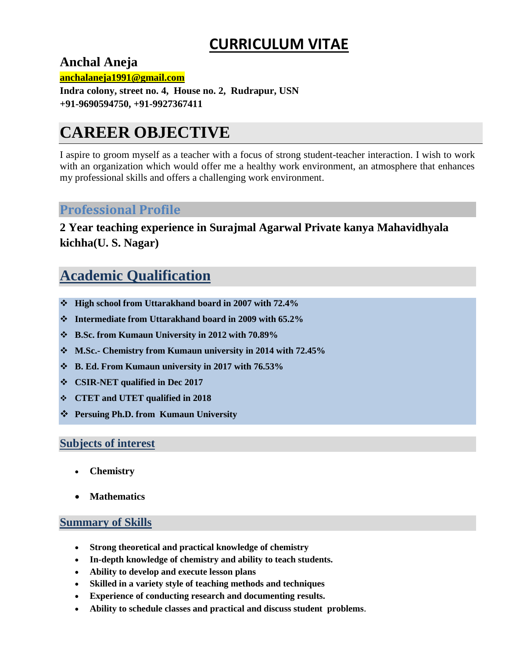# **CURRICULUM VITAE**

**Anchal Aneja** 

**anchalaneja1991@gmail.com**

**Indra colony, street no. 4, House no. 2, Rudrapur, USN +91-9690594750, +91-9927367411**

# **CAREER OBJECTIVE**

I aspire to groom myself as a teacher with a focus of strong student-teacher interaction. I wish to work with an organization which would offer me a healthy work environment, an atmosphere that enhances my professional skills and offers a challenging work environment.

## **Professional Profile**

**2 Year teaching experience in Surajmal Agarwal Private kanya Mahavidhyala kichha(U. S. Nagar)**

## **Academic Qualification**

- **High school from Uttarakhand board in 2007 with 72.4%**
- **Intermediate from Uttarakhand board in 2009 with 65.2%**
- **B.Sc. from Kumaun University in 2012 with 70.89%**
- **M.Sc.- Chemistry from Kumaun university in 2014 with 72.45%**
- **B. Ed. From Kumaun university in 2017 with 76.53%**
- **CSIR-NET qualified in Dec 2017**
- **CTET and UTET qualified in 2018**
- **Persuing Ph.D. from Kumaun University**

#### **Subjects of interest**

- **Chemistry**
- **Mathematics**

#### **Summary of Skills**

- **Strong theoretical and practical knowledge of chemistry**
- **In-depth knowledge of chemistry and ability to teach students.**
- **Ability to develop and execute lesson plans**
- **Skilled in a variety style of teaching methods and techniques**
- **Experience of conducting research and documenting results.**
- **Ability to schedule classes and practical and discuss student problems**.